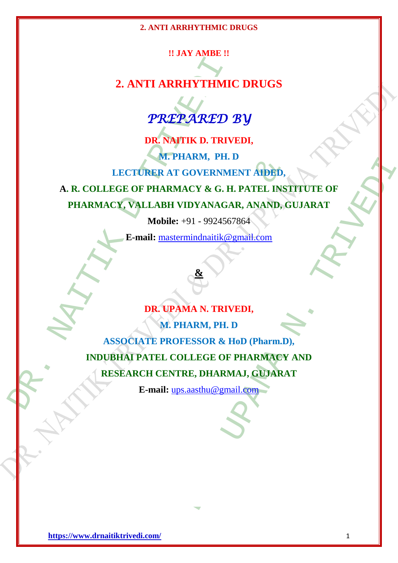# **!! JAY AMBE !!**

# **2. ANTI ARRHYTHMIC DRUGS**



**DR. NAITIK D. TRIVEDI, M. PHARM, PH. D LECTURER AT GOVERNMENT AIDED,**

**A. R. COLLEGE OF PHARMACY & G. H. PATEL INSTITUTE OF PHARMACY, VALLABH VIDYANAGAR, ANAND, GUJARAT**

**Mobile:** +91 - 9924567864

**E-mail:** [mastermindnaitik@gmail.com](mailto:mastermindnaitik@gmail.com)



2. ANTI ARRHYTHMI(
PREPARED :<br>
PREPARED :<br>
DR. NAJTIK D. TRIV<br>
M. PHARM, PH. 1<br>
LECTURER AT GOVERNM<br>
A. R. COLLEGE OF PHARMACY & G. H.<br>
PHARMACY, VALLABH VIDYANAGA<br>
Mobile: +91 - 9924567<br>
E-mail: <u>masternindnaitk@s</u><br>
DR. U EGE OF PHARMACY & G. H. PATEL INST<br>
EGE OF PHARMACY & G. H. PATEL INST<br>
CY, VALLABH VIDYANAGAR, ANAND, G<br>
Mobile: +91 - 9924567864<br>
E-mail: <u>matermindnaitik@gmail.com</u><br>
DR. UPAMA N. TRIVEDI,<br>
M. PHARM, PH. D<br>
SSOCIATE PROF EGOVERNMENT AIRED,<br>
ACY & G. H. PATEL INSTITUTE OF<br>
IDYANAGAR, ANAND, GUJARAT<br>
+91 - 9924567864<br>
mindmaitik@gmail.com<br>
MA N. TRIVEDI,<br>
HARM, PH. D<br>
FESSOR & HoD (Pharm.D),<br>
MLEGE OF PHARMAGY AND<br>
RE, DHARMAJ, GUJARAT<br>
s.as **DR. UPAMA N. TRIVEDI, M. PHARM, PH. D ASSOCIATE PROFESSOR & HoD (Pharm.D), INDUBHAI PATEL COLLEGE OF PHARMACY AND RESEARCH CENTRE, DHARMAJ, GUJARAT**

**E-mail:** [ups.aasthu@gmail.com](mailto:ups.aasthu@gmail.com)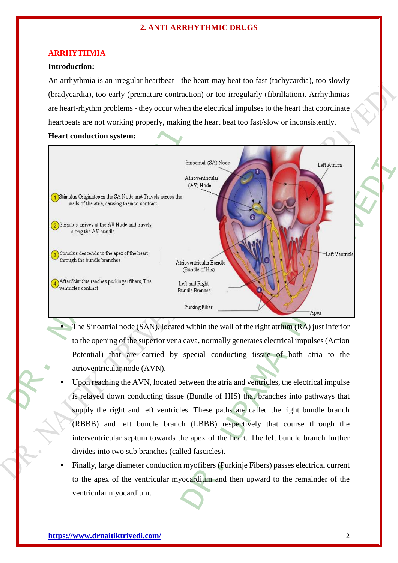### **ARRHYTHMIA**

# **Introduction:**

An arrhythmia is an irregular heartbeat - the heart may beat too fast (tachycardia), too slowly (bradycardia), too early (premature contraction) or too irregularly (fibrillation). Arrhythmias are heart-rhythm problems - they occur when the electrical impulses to the heart that coordinate heartbeats are not working properly, making the heart beat too fast/slow or inconsistently.

**Heart conduction system:**



- The Sinoatrial node (SAN), located within the wall of the right atrium (RA) just inferior to the opening of the superior vena cava, normally generates electrical impulses (Action Potential) that are carried by special conducting tissue of both atria to the atrioventricular node (AVN).
- Upon reaching the AVN, located between the atria and ventricles, the electrical impulse is relayed down conducting tissue (Bundle of HIS) that branches into pathways that supply the right and left ventricles. These paths are called the right bundle branch (RBBB) and left bundle branch (LBBB) respectively that course through the interventricular septum towards the apex of the heart. The left bundle branch further divides into two sub branches (called fascicles).
- Finally, large diameter conduction myofibers (Purkinje Fibers) passes electrical current to the apex of the ventricular myocardium and then upward to the remainder of the ventricular myocardium.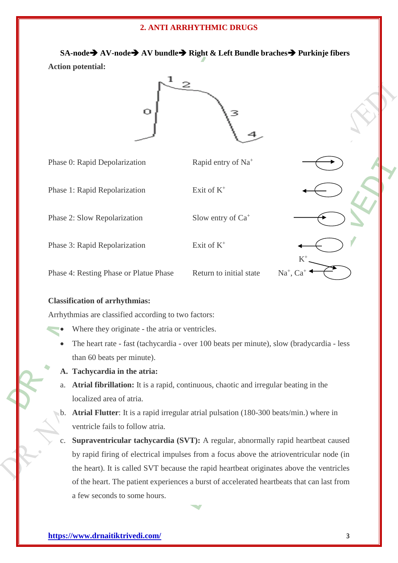**SA-node AV-node AV bundle Right & Left Bundle braches Purkinje fibers Action potential:** 



|                                                                                                    | <b>Action potential:</b>                                                                |                                |                      |  |
|----------------------------------------------------------------------------------------------------|-----------------------------------------------------------------------------------------|--------------------------------|----------------------|--|
|                                                                                                    | о                                                                                       |                                |                      |  |
|                                                                                                    | Phase 0: Rapid Depolarization                                                           | Rapid entry of Na <sup>+</sup> |                      |  |
|                                                                                                    | Phase 1: Rapid Repolarization                                                           | Exit of $K^+$                  |                      |  |
|                                                                                                    | Phase 2: Slow Repolarization                                                            | Slow entry of Ca <sup>+</sup>  |                      |  |
|                                                                                                    | Phase 3: Rapid Repolarization                                                           | Exit of $K^+$                  |                      |  |
|                                                                                                    | Phase 4: Resting Phase or Platue Phase                                                  | Return to initial state        | Na <sup>+</sup> , Ca |  |
|                                                                                                    | <b>Classification of arrhythmias:</b>                                                   |                                |                      |  |
| Arrhythmias are classified according to two factors:                                               |                                                                                         |                                |                      |  |
|                                                                                                    | Where they originate - the atria or ventricles.                                         |                                |                      |  |
| The heart rate - fast (tachycardia - over 100 beats per minute), slow (bradycardia - less          |                                                                                         |                                |                      |  |
|                                                                                                    | than 60 beats per minute).                                                              |                                |                      |  |
|                                                                                                    | A. Tachycardia in the atria:                                                            |                                |                      |  |
| a.                                                                                                 | Atrial fibrillation: It is a rapid, continuous, chaotic and irregular beating in the    |                                |                      |  |
| localized area of atria.                                                                           |                                                                                         |                                |                      |  |
| b. Atrial Flutter: It is a rapid irregular atrial pulsation (180-300 beats/min.) where in          |                                                                                         |                                |                      |  |
|                                                                                                    | ventricle fails to follow atria.                                                        |                                |                      |  |
| Supraventricular tachycardia (SVT): A regular, abnormally rapid heartbeat caused<br>$\mathbf{C}$ . |                                                                                         |                                |                      |  |
|                                                                                                    | by rapid firing of electrical impulses from a focus above the atrioventricular node (in |                                |                      |  |
| the heart). It is called SVT because the rapid heartbeat originates above the ventricles           |                                                                                         |                                |                      |  |
| of the heart. The patient experiences a burst of accelerated heartbeats that can last from         |                                                                                         |                                |                      |  |
|                                                                                                    | a few seconds to some hours.                                                            |                                |                      |  |
|                                                                                                    |                                                                                         |                                |                      |  |

# **Classification of arrhythmias:**

- Where they originate the atria or ventricles.
- The heart rate fast (tachycardia over 100 beats per minute), slow (bradycardia less than 60 beats per minute).
- **A. Tachycardia in the atria:**
- a. **Atrial fibrillation:** It is a rapid, continuous, chaotic and irregular beating in the localized area of atria.
- b. **Atrial Flutter**: It is a rapid irregular atrial pulsation (180-300 beats/min.) where in ventricle fails to follow atria.
- c. **Supraventricular tachycardia (SVT):** A regular, abnormally rapid heartbeat caused by rapid firing of electrical impulses from a focus above the atrioventricular node (in the heart). It is called SVT because the rapid heartbeat originates above the ventricles of the heart. The patient experiences a burst of accelerated heartbeats that can last from a few seconds to some hours.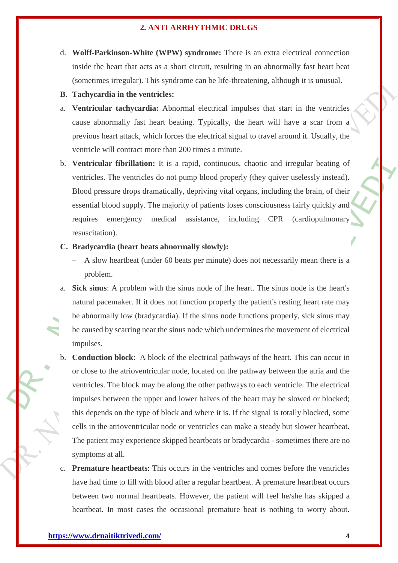- d. **Wolff-Parkinson-White (WPW) syndrome:** There is an extra electrical connection inside the heart that acts as a short circuit, resulting in an abnormally fast heart beat (sometimes irregular). This syndrome can be life-threatening, although it is unusual.
- **B. Tachycardia in the ventricles:**
- a. **Ventricular tachycardia:** Abnormal electrical impulses that start in the ventricles cause abnormally fast heart beating. Typically, the heart will have a scar from a previous heart attack, which forces the electrical signal to travel around it. Usually, the ventricle will contract more than 200 times a minute.
- inside the heart that acts as a short circuit, resulti<br>
(sometimes irregular). This syndrome can be life-til<br> **B.** Tachycardia in the ventricles:<br>
a. Ventricular tachycardia: Abnormal electrical in<br>
cause abnormally fast h b. **Ventricular fibrillation:** It is a rapid, continuous, chaotic and irregular beating of ventricles. The ventricles do not pump blood properly (they quiver uselessly instead). Blood pressure drops dramatically, depriving vital organs, including the brain, of their essential blood supply. The majority of patients loses consciousness fairly quickly and requires emergency medical assistance, including CPR (cardiopulmonary resuscitation).
	- **C. Bradycardia (heart beats abnormally slowly):**
		- A slow heartbeat (under 60 beats per minute) does not necessarily mean there is a problem.
	- a. **Sick sinus**: A problem with the sinus node of the heart. The sinus node is the heart's natural pacemaker. If it does not function properly the patient's resting heart rate may be abnormally low (bradycardia). If the sinus node functions properly, sick sinus may be caused by scarring near the sinus node which undermines the movement of electrical impulses.
	- **fibrillation:** It is a rapid, continuous, chaotic and in<br>the ventricles do not pump blood properly (they quiver<br>ure drops dramatically, depriving vital organs, including<br>ood supply. The majority of patients loses consciou rapid, continuous, chaotic and irregular beating of<br>
	ump blood properly (they quiver uselessly instead).<br>
	(, depriving vital organs, including the brain, of their<br>
	ty of patients loses consciousness fairly quickly and<br>
	ass b. **Conduction block**: A block of the electrical pathways of the heart. This can occur in or close to the atrioventricular node, located on the pathway between the atria and the ventricles. The block may be along the other pathways to each ventricle. The electrical impulses between the upper and lower halves of the heart may be slowed or blocked; this depends on the type of block and where it is. If the signal is totally blocked, some cells in the atrioventricular node or ventricles can make a steady but slower heartbeat. The patient may experience skipped heartbeats or bradycardia - sometimes there are no symptoms at all.
	- c. **Premature heartbeats**: This occurs in the ventricles and comes before the ventricles have had time to fill with blood after a regular heartbeat. A premature heartbeat occurs between two normal heartbeats. However, the patient will feel he/she has skipped a heartbeat. In most cases the occasional premature beat is nothing to worry about.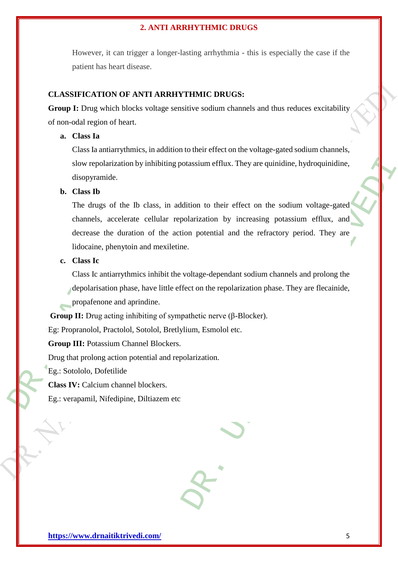However, it can trigger a longer-lasting arrhythmia - this is especially the case if the patient has heart disease.

# **CLASSIFICATION OF ANTI ARRHYTHMIC DRUGS:**

**Group I:** Drug which blocks voltage sensitive sodium channels and thus reduces excitability of non-odal region of heart.

# **a. Class Ia**

Class Ia antiarrythmics, in addition to their effect on the voltage-gated sodium channels, slow repolarization by inhibiting potassium efflux. They are quinidine, hydroquinidine, disopyramide.

### **b. Class Ib**

patient has heart disease.<br>
CLASSIFICATION OF ANTI ARRHYTHMIC DRUC<br>
Group I: Drug which blocks voltage sensitive sodium ch<br>
of non-odal region of heart.<br> **a.** Class Ia<br>
Class Ia antiarrythmics, in addition to their effect ization by inhibiting potassium efflux. They are quinidin<br>le.<br>de.<br>of the Ib class, in addition to their effect on the sodi<br>ccelerate cellular repolarization by increasing potas<br>e duration of the action potential and the otassium efflux. They are quinidine, hydroquinidine,<br>dition to their effect on the sodium voltage-gated<br>dolarization by increasing potassium efflux, and<br>ion potential and the refractory period. They are<br>e.<br>e.<br>voltage-depen The drugs of the Ib class, in addition to their effect on the sodium voltage-gated channels, accelerate cellular repolarization by increasing potassium efflux, and decrease the duration of the action potential and the refractory period. They are lidocaine, phenytoin and mexiletine.

# **c. Class Ic**

Class Ic antiarrythmics inhibit the voltage-dependant sodium channels and prolong the depolarisation phase, have little effect on the repolarization phase. They are flecainide, propafenone and aprindine.

**Group II:** Drug acting inhibiting of sympathetic nerve (β-Blocker).

Eg: Propranolol, Practolol, Sotolol, Bretlylium, Esmolol etc.

**Group III:** Potassium Channel Blockers.

Drug that prolong action potential and repolarization.

Eg.: Sotololo, Dofetilide

**Class IV:** Calcium channel blockers.

Eg.: verapamil, Nifedipine, Diltiazem etc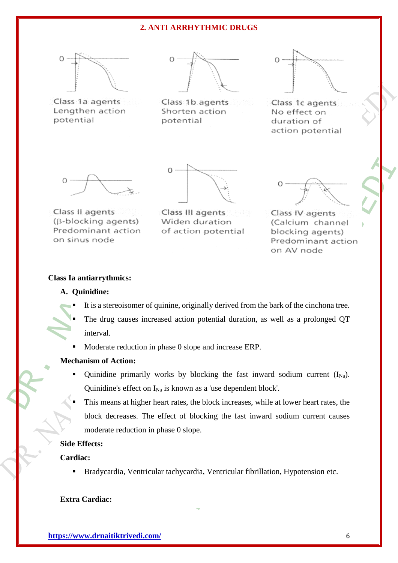





Class 1c agents No effect on duration of action potential



#### **Class Ia antiarrythmics:**

# **A. Quinidine:**

- It is a stereoisomer of quinine, originally derived from the bark of the cinchona tree.
- The drug causes increased action potential duration, as well as a prolonged QT interval.
- Moderate reduction in phase 0 slope and increase ERP.

#### **Mechanism of Action:**

- Class 1a agents<br>
Class 1a agents<br>
Lengthen action<br>
potential<br>
DR. S. Northen action<br>
Shorten action<br>
potential<br>
(3-blocking agents)<br>
Class II agents<br>
(3-blocking agents)<br>
OR. S. Naighter duration<br>
on sinus node<br>
Class Ia a Quinidine primarily works by blocking the fast inward sodium current  $(I_{Na})$ . Quinidine's effect on  $I_{Na}$  is known as a 'use dependent block'.
	- $\overline{S}$ <br>  $\overline{S}$ <br>  $\overline{S}$ <br>  $\overline{S}$ <br>  $\overline{S}$ <br>  $\overline{S}$ <br>  $\overline{S}$ <br>  $\overline{S}$ <br>  $\overline{S}$ <br>  $\overline{S}$ <br>  $\overline{S}$ <br>  $\overline{S}$ <br>  $\overline{S}$ <br>  $\overline{S}$ <br>  $\overline{S}$ <br>  $\overline{S}$ <br>  $\overline{S}$ <br>  $\overline{S}$ <br>  $\overline{S}$ <br>  $\overline{S}$ <br>  $\overline{S}$ <br>  $\overline{S}$ <br> O<br>
	III agents<br>
	III agents<br>
	III agents<br>
	III agents<br>
	Class IV agents<br>
	Class IV agents<br>
	Decking agents<br>
	Predominant acion<br>
	on AV node<br>
	on AV node<br>
	on AV node<br>
	on AV node<br>
	O<br>
	O<br>
	Suppend increase ERP.<br>
	Publication, as well as a This means at higher heart rates, the block increases, while at lower heart rates, the block decreases. The effect of blocking the fast inward sodium current causes moderate reduction in phase 0 slope.

### **Side Effects:**

# **Cardiac:**

Bradycardia, Ventricular tachycardia, Ventricular fibrillation, Hypotension etc.

### **Extra Cardiac:**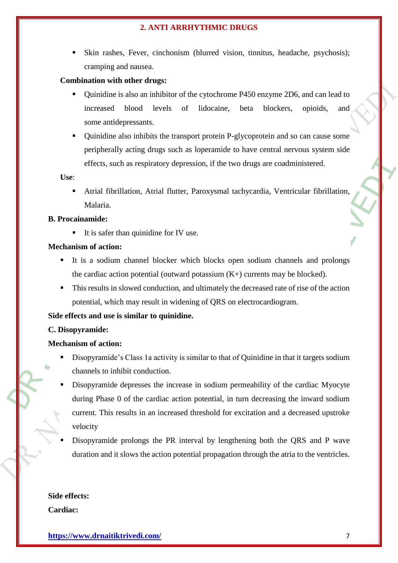Skin rashes, Fever, cinchonism (blurred vision, tinnitus, headache, psychosis); cramping and nausea.

# **Combination with other drugs:**

- Quinidine is also an inhibitor of the cytochrome P450 enzyme 2D6, and can lead to increased blood levels of lidocaine, beta blockers, opioids, and some antidepressants.
- combination with other drugs:<br>
Combination with other drugs:<br>
Combination with other drugs:<br>
Combination is also an inhibitor of the cytochrome increased blood levels of lidocaine,<br>
some antidepressants.<br>
Combination also Quinidine also inhibits the transport protein P-glycoprotein and so can cause some peripherally acting drugs such as loperamide to have central nervous system side effects, such as respiratory depression, if the two drugs are coadministered.

**Use**:

 Atrial fibrillation, Atrial flutter, Paroxysmal tachycardia, Ventricular fibrillation, Malaria.

# **B. Procainamide:**

It is safer than quinidine for IV use.

# **Mechanism of action:**

- It is a sodium channel blocker which blocks open [sodium channels](http://en.wikipedia.org/wiki/Sodium_channels) and prolongs the cardiac action potential (outward potassium  $(K+)$  currents may be blocked).
- This results in slowed conduction, and ultimately the decreased rate of rise of the action potential, which may result in widening of QRS on electrocardiogram.

# **Side effects and use is similar to quinidine.**

# **C. Disopyramide:**

# **Mechanism of action:**

- Disopyramide's Class 1a activity is similar to that of Quinidine in that it targets sodium channels to inhibit conduction.
- such as respiratory depression, if the two drugs are coadn<br>
brillation, Atrial flutter, Paroxysmal tachycardia, Ventu<br>
on:<br>
um channel blocker which blocks open sodium channel<br>
on:<br>
um channel blocker which blocks open sod reassion, if the two drugs are coadministered.<br>
Fr. Paroxysmal tachycardia, Ventricular fibrillation,<br>
vise.<br>
vise.<br>
which blocks open sodium channels and prolongs<br>
and ototassium (K+) currents may be blocked).<br>
and ultima Disopyramide depresses the increase in sodium permeability of the cardiac Myocyte during Phase 0 of the cardiac action potential, in turn decreasing the inward sodium current. This results in an increased threshold for excitation and a decreased upstroke velocity
- Disopyramide prolongs the PR interval by lengthening both the QRS and P wave duration and it slows the action potential propagation through the atria to the ventricles.

**Side effects: Cardiac:**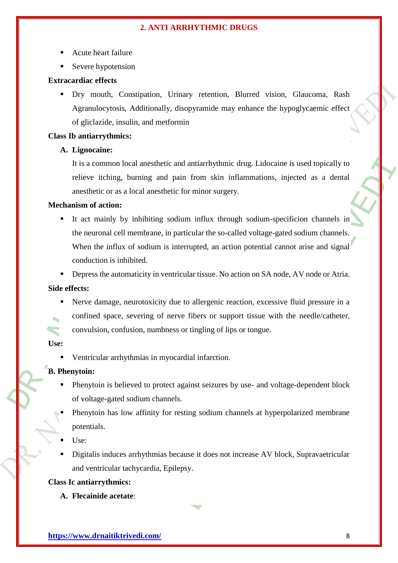- Acute heart failure
- Severe hypotension

### **Extracardiac effects**

 Dry mouth, Constipation, Urinary retention, Blurred vision, [Glaucoma,](http://en.wikipedia.org/wiki/Glaucoma) Rash Agranulocytosis, Additionally, disopyramide may enhance the hypoglycaemic effect of gliclazide, insulin, and metformin

### **Class Ib antiarrythmics:**

### **A. Lignocaine:**

It is a common local anesthetic and antiarrhythmic drug. Lidocaine is used topically to relieve itching, burning and pain from skin inflammations, injected as a dental anesthetic or as a local anesthetic for minor surgery.

# **Mechanism of action:**

Severe hypotension<br>
Extracardiae effects<br>
Dry mouth, Constipation, Urinary retention,<br>
Agranulocytosis, Additionally, disopyramide may<br>
of gliclazide, insulin, and methormin<br>
Class **ID antiarrythmics:**<br> **A. Lignocaine:**<br>
I ion local anesthetic and antiarrhythmic drug. Lidocaine i<br>ing, burning and pain from skin inflammations, inje<br>ras a local anesthetic for minor surgery.<br>**on:**<br>ty by inhibiting sodium influx through sodium-specif<br>cell membra d antiarrhythmic drug. Lidocaine is used topically to<br>
in from skin inflammations, injected as a dental<br>
for minor surgery.<br>
um influx through sodium-specificion channels in<br>
tricular the so-called voltage-gated sodium cha It act mainly by inhibiting sodium influx through sodium-specificion channels in the neuronal cell membrane, in particular the so-called voltage-gated sodium channels. When the influx of sodium is interrupted, an action potential cannot arise and signal conduction is inhibited.

**•** Depress the automaticity in ventricular tissue. No action on SA node, AV node or Atria.

#### **Side effects:**

 Nerve damage, neurotoxicity due to allergenic reaction, excessive fluid pressure in a confined space, severing of nerve fibers or support tissue with the needle/catheter, convulsion, confusion, numbness or tingling of lips or tongue.

### **Use:**

Ventricular arrhythmias in myocardial infarction.

#### **B. Phenytoin:**

- Phenytoin is believed to protect against seizures by use- and voltage-dependent block of voltage-gated sodium channels.
- Phenytoin has low affinity for resting sodium channels at hyperpolarized membrane potentials.
- Use:
- Digitalis induces arrhythmias because it does not increase AV block, Supravaetricular and ventricular tachycardia, Epilepsy.

### **Class Ic antiarrythmics:**

**A. Flecainide acetate**: